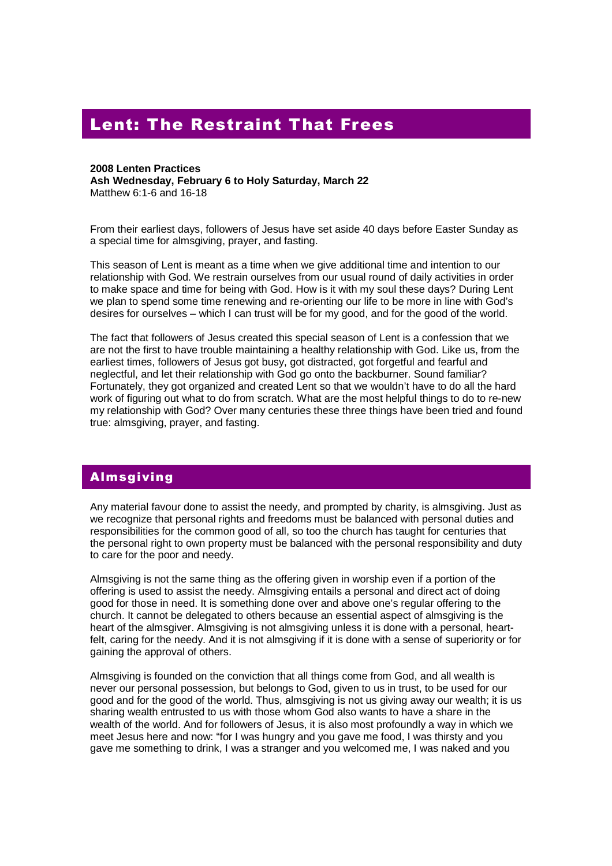# Lent: The Restraint That Frees

#### **2008 Lenten Practices**

**Ash Wednesday, February 6 to Holy Saturday, March 22** Matthew 6:1-6 and 16-18

From their earliest days, followers of Jesus have set aside 40 days before Easter Sunday as a special time for almsgiving, prayer, and fasting.

This season of Lent is meant as a time when we give additional time and intention to our relationship with God. We restrain ourselves from our usual round of daily activities in order to make space and time for being with God. How is it with my soul these days? During Lent we plan to spend some time renewing and re-orienting our life to be more in line with God's desires for ourselves – which I can trust will be for my good, and for the good of the world.

The fact that followers of Jesus created this special season of Lent is a confession that we are not the first to have trouble maintaining a healthy relationship with God. Like us, from the earliest times, followers of Jesus got busy, got distracted, got forgetful and fearful and neglectful, and let their relationship with God go onto the backburner. Sound familiar? Fortunately, they got organized and created Lent so that we wouldn't have to do all the hard work of figuring out what to do from scratch. What are the most helpful things to do to re-new my relationship with God? Over many centuries these three things have been tried and found true: almsgiving, prayer, and fasting.

### Almsgiving

Any material favour done to assist the needy, and prompted by charity, is almsgiving. Just as we recognize that personal rights and freedoms must be balanced with personal duties and responsibilities for the common good of all, so too the church has taught for centuries that the personal right to own property must be balanced with the personal responsibility and duty to care for the poor and needy.

Almsgiving is not the same thing as the offering given in worship even if a portion of the offering is used to assist the needy. Almsgiving entails a personal and direct act of doing good for those in need. It is something done over and above one's regular offering to the church. It cannot be delegated to others because an essential aspect of almsgiving is the heart of the almsgiver. Almsgiving is not almsgiving unless it is done with a personal, heartfelt, caring for the needy. And it is not almsgiving if it is done with a sense of superiority or for gaining the approval of others.

Almsgiving is founded on the conviction that all things come from God, and all wealth is never our personal possession, but belongs to God, given to us in trust, to be used for our good and for the good of the world. Thus, almsgiving is not us giving away our wealth; it is us sharing wealth entrusted to us with those whom God also wants to have a share in the wealth of the world. And for followers of Jesus, it is also most profoundly a way in which we meet Jesus here and now: "for I was hungry and you gave me food, I was thirsty and you gave me something to drink, I was a stranger and you welcomed me, I was naked and you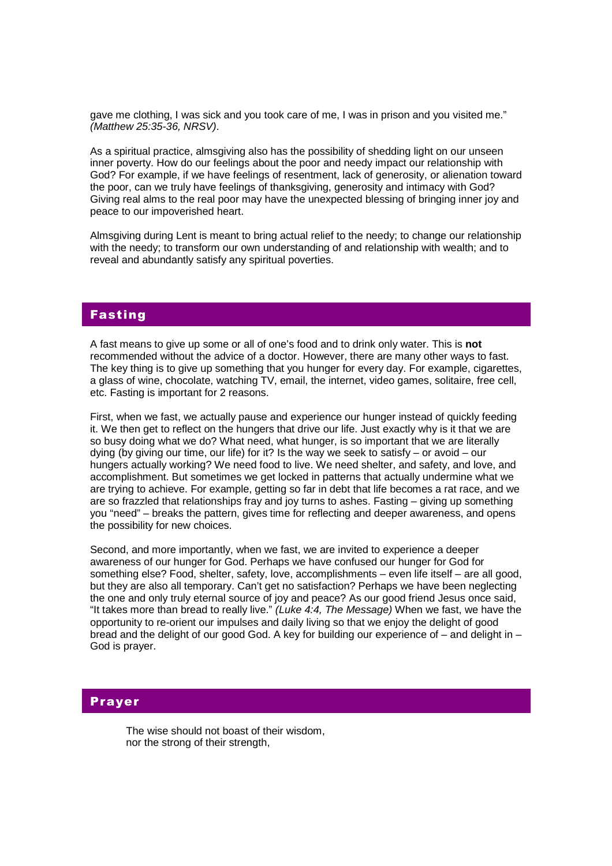gave me clothing, I was sick and you took care of me, I was in prison and you visited me." *(Matthew 25:35-36, NRSV)*.

As a spiritual practice, almsgiving also has the possibility of shedding light on our unseen inner poverty. How do our feelings about the poor and needy impact our relationship with God? For example, if we have feelings of resentment, lack of generosity, or alienation toward the poor, can we truly have feelings of thanksgiving, generosity and intimacy with God? Giving real alms to the real poor may have the unexpected blessing of bringing inner joy and peace to our impoverished heart.

Almsgiving during Lent is meant to bring actual relief to the needy; to change our relationship with the needy; to transform our own understanding of and relationship with wealth; and to reveal and abundantly satisfy any spiritual poverties.

## Fasting

A fast means to give up some or all of one's food and to drink only water. This is **not** recommended without the advice of a doctor. However, there are many other ways to fast. The key thing is to give up something that you hunger for every day. For example, cigarettes, a glass of wine, chocolate, watching TV, email, the internet, video games, solitaire, free cell, etc. Fasting is important for 2 reasons.

First, when we fast, we actually pause and experience our hunger instead of quickly feeding it. We then get to reflect on the hungers that drive our life. Just exactly why is it that we are so busy doing what we do? What need, what hunger, is so important that we are literally dying (by giving our time, our life) for it? Is the way we seek to satisfy – or avoid – our hungers actually working? We need food to live. We need shelter, and safety, and love, and accomplishment. But sometimes we get locked in patterns that actually undermine what we are trying to achieve. For example, getting so far in debt that life becomes a rat race, and we are so frazzled that relationships fray and joy turns to ashes. Fasting – giving up something you "need" – breaks the pattern, gives time for reflecting and deeper awareness, and opens the possibility for new choices.

Second, and more importantly, when we fast, we are invited to experience a deeper awareness of our hunger for God. Perhaps we have confused our hunger for God for something else? Food, shelter, safety, love, accomplishments – even life itself – are all good, but they are also all temporary. Can't get no satisfaction? Perhaps we have been neglecting the one and only truly eternal source of joy and peace? As our good friend Jesus once said, "It takes more than bread to really live." *(Luke 4:4, The Message)* When we fast, we have the opportunity to re-orient our impulses and daily living so that we enjoy the delight of good bread and the delight of our good God. A key for building our experience of – and delight in – God is prayer.

#### Prayer

The wise should not boast of their wisdom, nor the strong of their strength,